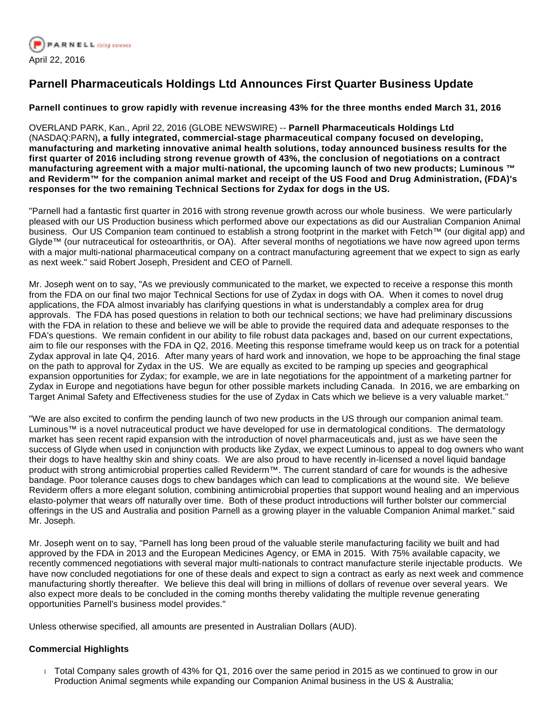

# **Parnell Pharmaceuticals Holdings Ltd Announces First Quarter Business Update**

# **Parnell continues to grow rapidly with revenue increasing 43% for the three months ended March 31, 2016**

OVERLAND PARK, Kan., April 22, 2016 (GLOBE NEWSWIRE) -- **Parnell Pharmaceuticals Holdings Ltd**  (NASDAQ:PARN)**, a fully integrated, commercial-stage pharmaceutical company focused on developing, manufacturing and marketing innovative animal health solutions, today announced business results for the first quarter of 2016 including strong revenue growth of 43%, the conclusion of negotiations on a contract manufacturing agreement with a major multi-national, the upcoming launch of two new products; Luminous ™ and Reviderm™ for the companion animal market and receipt of the US Food and Drug Administration, (FDA)'s responses for the two remaining Technical Sections for Zydax for dogs in the US.**

"Parnell had a fantastic first quarter in 2016 with strong revenue growth across our whole business. We were particularly pleased with our US Production business which performed above our expectations as did our Australian Companion Animal business. Our US Companion team continued to establish a strong footprint in the market with Fetch™ (our digital app) and Glyde™ (our nutraceutical for osteoarthritis, or OA). After several months of negotiations we have now agreed upon terms with a major multi-national pharmaceutical company on a contract manufacturing agreement that we expect to sign as early as next week." said Robert Joseph, President and CEO of Parnell.

Mr. Joseph went on to say, "As we previously communicated to the market, we expected to receive a response this month from the FDA on our final two major Technical Sections for use of Zydax in dogs with OA. When it comes to novel drug applications, the FDA almost invariably has clarifying questions in what is understandably a complex area for drug approvals. The FDA has posed questions in relation to both our technical sections; we have had preliminary discussions with the FDA in relation to these and believe we will be able to provide the required data and adequate responses to the FDA's questions. We remain confident in our ability to file robust data packages and, based on our current expectations, aim to file our responses with the FDA in Q2, 2016. Meeting this response timeframe would keep us on track for a potential Zydax approval in late Q4, 2016. After many years of hard work and innovation, we hope to be approaching the final stage on the path to approval for Zydax in the US. We are equally as excited to be ramping up species and geographical expansion opportunities for Zydax; for example, we are in late negotiations for the appointment of a marketing partner for Zydax in Europe and negotiations have begun for other possible markets including Canada. In 2016, we are embarking on Target Animal Safety and Effectiveness studies for the use of Zydax in Cats which we believe is a very valuable market."

"We are also excited to confirm the pending launch of two new products in the US through our companion animal team. Luminous™ is a novel nutraceutical product we have developed for use in dermatological conditions. The dermatology market has seen recent rapid expansion with the introduction of novel pharmaceuticals and, just as we have seen the success of Glyde when used in conjunction with products like Zydax, we expect Luminous to appeal to dog owners who want their dogs to have healthy skin and shiny coats. We are also proud to have recently in-licensed a novel liquid bandage product with strong antimicrobial properties called Reviderm™. The current standard of care for wounds is the adhesive bandage. Poor tolerance causes dogs to chew bandages which can lead to complications at the wound site. We believe Reviderm offers a more elegant solution, combining antimicrobial properties that support wound healing and an impervious elasto-polymer that wears off naturally over time. Both of these product introductions will further bolster our commercial offerings in the US and Australia and position Parnell as a growing player in the valuable Companion Animal market." said Mr. Joseph.

Mr. Joseph went on to say, "Parnell has long been proud of the valuable sterile manufacturing facility we built and had approved by the FDA in 2013 and the European Medicines Agency, or EMA in 2015. With 75% available capacity, we recently commenced negotiations with several major multi-nationals to contract manufacture sterile injectable products. We have now concluded negotiations for one of these deals and expect to sign a contract as early as next week and commence manufacturing shortly thereafter. We believe this deal will bring in millions of dollars of revenue over several years. We also expect more deals to be concluded in the coming months thereby validating the multiple revenue generating opportunities Parnell's business model provides."

Unless otherwise specified, all amounts are presented in Australian Dollars (AUD).

# **Commercial Highlights**

 Total Company sales growth of 43% for Q1, 2016 over the same period in 2015 as we continued to grow in our Production Animal segments while expanding our Companion Animal business in the US & Australia;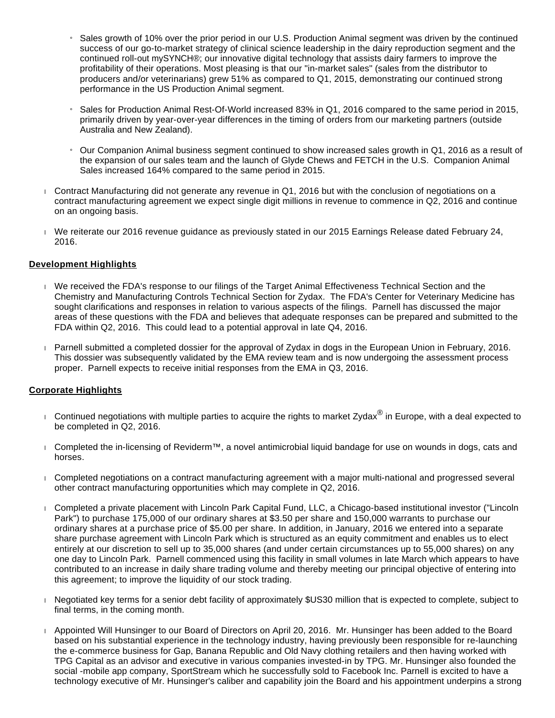- » Sales growth of 10% over the prior period in our U.S. Production Animal segment was driven by the continued success of our go-to-market strategy of clinical science leadership in the dairy reproduction segment and the continued roll-out mySYNCH®; our innovative digital technology that assists dairy farmers to improve the profitability of their operations. Most pleasing is that our "in-market sales" (sales from the distributor to producers and/or veterinarians) grew 51% as compared to Q1, 2015, demonstrating our continued strong performance in the US Production Animal segment.
- Sales for Production Animal Rest-Of-World increased 83% in Q1, 2016 compared to the same period in 2015, primarily driven by year-over-year differences in the timing of orders from our marketing partners (outside Australia and New Zealand).
- » Our Companion Animal business segment continued to show increased sales growth in Q1, 2016 as a result of the expansion of our sales team and the launch of Glyde Chews and FETCH in the U.S. Companion Animal Sales increased 164% compared to the same period in 2015.
- Contract Manufacturing did not generate any revenue in Q1, 2016 but with the conclusion of negotiations on a contract manufacturing agreement we expect single digit millions in revenue to commence in Q2, 2016 and continue on an ongoing basis.
- We reiterate our 2016 revenue guidance as previously stated in our 2015 Earnings Release dated February 24, 2016.

## **Development Highlights**

- We received the FDA's response to our filings of the Target Animal Effectiveness Technical Section and the Chemistry and Manufacturing Controls Technical Section for Zydax. The FDA's Center for Veterinary Medicine has sought clarifications and responses in relation to various aspects of the filings. Parnell has discussed the major areas of these questions with the FDA and believes that adequate responses can be prepared and submitted to the FDA within Q2, 2016. This could lead to a potential approval in late Q4, 2016.
- Parnell submitted a completed dossier for the approval of Zydax in dogs in the European Union in February, 2016. This dossier was subsequently validated by the EMA review team and is now undergoing the assessment process proper. Parnell expects to receive initial responses from the EMA in Q3, 2016.

#### **Corporate Highlights**

- □ Continued negotiations with multiple parties to acquire the rights to market Zydax<sup>®</sup> in Europe, with a deal expected to be completed in Q2, 2016.
- Completed the in-licensing of Reviderm™, a novel antimicrobial liquid bandage for use on wounds in dogs, cats and horses.
- Completed negotiations on a contract manufacturing agreement with a major multi-national and progressed several other contract manufacturing opportunities which may complete in Q2, 2016.
- Completed a private placement with Lincoln Park Capital Fund, LLC, a Chicago-based institutional investor ("Lincoln Park") to purchase 175,000 of our ordinary shares at \$3.50 per share and 150,000 warrants to purchase our ordinary shares at a purchase price of \$5.00 per share. In addition, in January, 2016 we entered into a separate share purchase agreement with Lincoln Park which is structured as an equity commitment and enables us to elect entirely at our discretion to sell up to 35,000 shares (and under certain circumstances up to 55,000 shares) on any one day to Lincoln Park. Parnell commenced using this facility in small volumes in late March which appears to have contributed to an increase in daily share trading volume and thereby meeting our principal objective of entering into this agreement; to improve the liquidity of our stock trading.
- Negotiated key terms for a senior debt facility of approximately \$US30 million that is expected to complete, subject to final terms, in the coming month.
- Appointed Will Hunsinger to our Board of Directors on April 20, 2016. Mr. Hunsinger has been added to the Board based on his substantial experience in the technology industry, having previously been responsible for re-launching the e-commerce business for Gap, Banana Republic and Old Navy clothing retailers and then having worked with TPG Capital as an advisor and executive in various companies invested-in by TPG. Mr. Hunsinger also founded the social -mobile app company, SportStream which he successfully sold to Facebook Inc. Parnell is excited to have a technology executive of Mr. Hunsinger's caliber and capability join the Board and his appointment underpins a strong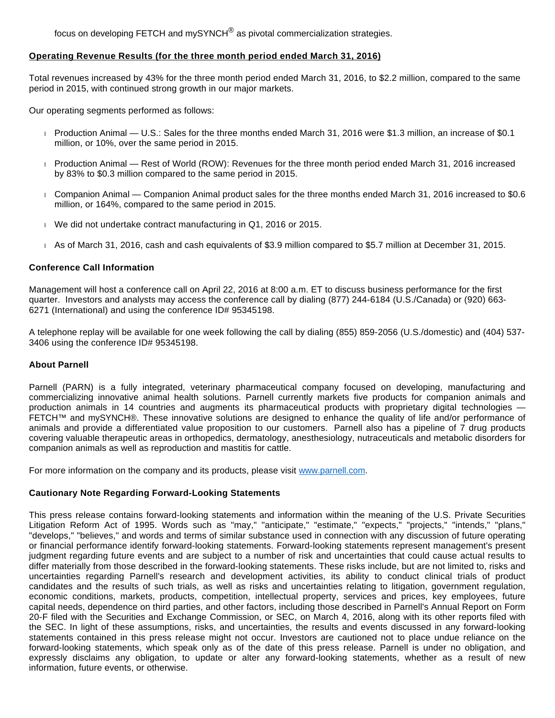focus on developing FETCH and mySYNCH $^{\circledR}$  as pivotal commercialization strategies.

#### **Operating Revenue Results (for the three month period ended March 31, 2016)**

Total revenues increased by 43% for the three month period ended March 31, 2016, to \$2.2 million, compared to the same period in 2015, with continued strong growth in our major markets.

Our operating segments performed as follows:

- Production Animal U.S.: Sales for the three months ended March 31, 2016 were \$1.3 million, an increase of \$0.1 million, or 10%, over the same period in 2015.
- Production Animal Rest of World (ROW): Revenues for the three month period ended March 31, 2016 increased by 83% to \$0.3 million compared to the same period in 2015.
- Companion Animal Companion Animal product sales for the three months ended March 31, 2016 increased to \$0.6 million, or 164%, compared to the same period in 2015.
- We did not undertake contract manufacturing in Q1, 2016 or 2015.
- As of March 31, 2016, cash and cash equivalents of \$3.9 million compared to \$5.7 million at December 31, 2015.

## **Conference Call Information**

Management will host a conference call on April 22, 2016 at 8:00 a.m. ET to discuss business performance for the first quarter. Investors and analysts may access the conference call by dialing (877) 244-6184 (U.S./Canada) or (920) 663- 6271 (International) and using the conference ID# 95345198.

A telephone replay will be available for one week following the call by dialing (855) 859-2056 (U.S./domestic) and (404) 537- 3406 using the conference ID# 95345198.

#### **About Parnell**

Parnell (PARN) is a fully integrated, veterinary pharmaceutical company focused on developing, manufacturing and commercializing innovative animal health solutions. Parnell currently markets five products for companion animals and production animals in 14 countries and augments its pharmaceutical products with proprietary digital technologies — FETCH™ and mySYNCH®. These innovative solutions are designed to enhance the quality of life and/or performance of animals and provide a differentiated value proposition to our customers. Parnell also has a pipeline of 7 drug products covering valuable therapeutic areas in orthopedics, dermatology, anesthesiology, nutraceuticals and metabolic disorders for companion animals as well as reproduction and mastitis for cattle.

For more information on the company and its products, please visit [www.parnell.com.](http://www.globenewswire.com/Tracker?data=cT3e_urKmYRgXBDDSErIl0De5jSJCGeRzTnPQJhi6G1ZzXp-RA0a0pscDQwcGlCyAtf2kFHiTVdSB5iG8UEkWA==)

#### **Cautionary Note Regarding Forward-Looking Statements**

This press release contains forward-looking statements and information within the meaning of the U.S. Private Securities Litigation Reform Act of 1995. Words such as "may," "anticipate," "estimate," "expects," "projects," "intends," "plans," "develops," "believes," and words and terms of similar substance used in connection with any discussion of future operating or financial performance identify forward-looking statements. Forward-looking statements represent management's present judgment regarding future events and are subject to a number of risk and uncertainties that could cause actual results to differ materially from those described in the forward-looking statements. These risks include, but are not limited to, risks and uncertainties regarding Parnell's research and development activities, its ability to conduct clinical trials of product candidates and the results of such trials, as well as risks and uncertainties relating to litigation, government regulation, economic conditions, markets, products, competition, intellectual property, services and prices, key employees, future capital needs, dependence on third parties, and other factors, including those described in Parnell's Annual Report on Form 20-F filed with the Securities and Exchange Commission, or SEC, on March 4, 2016, along with its other reports filed with the SEC. In light of these assumptions, risks, and uncertainties, the results and events discussed in any forward-looking statements contained in this press release might not occur. Investors are cautioned not to place undue reliance on the forward-looking statements, which speak only as of the date of this press release. Parnell is under no obligation, and expressly disclaims any obligation, to update or alter any forward-looking statements, whether as a result of new information, future events, or otherwise.